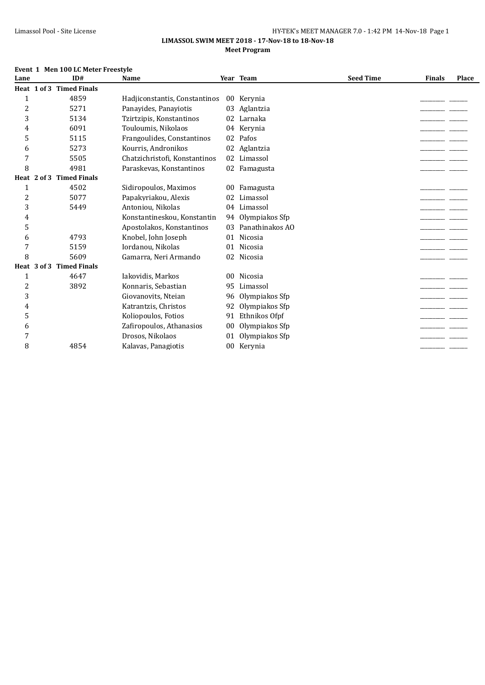#### Limassol Pool - Site License **HY-TEK's MEET MANAGER 7.0 - 1:42 PM 14-Nov-18** Page 1 **LIMASSOL SWIM MEET 2018 - 17-Nov-18 to 18-Nov-18**

## **Meet Program**

#### **Event 1 Men 100 LC Meter Freestyle**

| Lane           |                 | ID#                      | <b>Name</b>                   |                 | Year Team       | <b>Seed Time</b> | <b>Finals</b> | Place |
|----------------|-----------------|--------------------------|-------------------------------|-----------------|-----------------|------------------|---------------|-------|
|                |                 | Heat 1 of 3 Timed Finals |                               |                 |                 |                  |               |       |
| 1              |                 | 4859                     | Hadjiconstantis, Constantinos |                 | 00 Kerynia      |                  |               |       |
| $\overline{c}$ |                 | 5271                     | Panavides, Panaviotis         | 03              | Aglantzia       |                  |               |       |
| 3              |                 | 5134                     | Tzirtzipis, Konstantinos      | 02              | Larnaka         |                  |               |       |
| 4              |                 | 6091                     | Touloumis, Nikolaos           | 04              | Kerynia         |                  |               |       |
| 5              |                 | 5115                     | Frangoulides, Constantinos    | 02              | Pafos           |                  |               |       |
| 6              |                 | 5273                     | Kourris, Andronikos           | 02              | Aglantzia       |                  |               |       |
| 7              |                 | 5505                     | Chatzichristofi, Konstantinos | 02              | Limassol        |                  |               |       |
| 8              |                 | 4981                     | Paraskevas, Konstantinos      |                 | 02 Famagusta    |                  |               |       |
|                | Heat $2$ of $3$ | <b>Timed Finals</b>      |                               |                 |                 |                  |               |       |
| 1              |                 | 4502                     | Sidiropoulos, Maximos         | 00              | Famagusta       |                  |               |       |
| 2              |                 | 5077                     | Papakyriakou, Alexis          | 02              | Limassol        |                  |               |       |
| 3              |                 | 5449                     | Antoniou, Nikolas             | 04              | Limassol        |                  |               |       |
| 4              |                 |                          | Konstantineskou, Konstantin   | 94              | Olympiakos Sfp  |                  |               |       |
| 5              |                 |                          | Apostolakos, Konstantinos     | 03              | Panathinakos AO |                  |               |       |
| 6              |                 | 4793                     | Knobel, John Joseph           | 01              | Nicosia         |                  |               |       |
| 7              |                 | 5159                     | Iordanou, Nikolas             | 01              | Nicosia         |                  |               |       |
| 8              |                 | 5609                     | Gamarra, Neri Armando         | 02              | Nicosia         |                  |               |       |
|                | Heat 3 of 3     | <b>Timed Finals</b>      |                               |                 |                 |                  |               |       |
| 1              |                 | 4647                     | Iakovidis, Markos             | 00 <sup>°</sup> | Nicosia         |                  |               |       |
| $\overline{c}$ |                 | 3892                     | Konnaris, Sebastian           | 95              | Limassol        |                  |               |       |
| 3              |                 |                          | Giovanovits, Nteian           | 96              | Olympiakos Sfp  |                  |               |       |
| 4              |                 |                          | Katrantzis, Christos          | 92              | Olympiakos Sfp  |                  |               |       |
| 5              |                 |                          | Koliopoulos, Fotios           | 91              | Ethnikos Ofpf   |                  |               |       |
| 6              |                 |                          | Zafiropoulos, Athanasios      | 00              | Olympiakos Sfp  |                  |               |       |
| 7              |                 |                          | Drosos, Nikolaos              | 01              | Olympiakos Sfp  |                  |               |       |
| 8              |                 | 4854                     | Kalavas, Panagiotis           |                 | 00 Kerynia      |                  |               |       |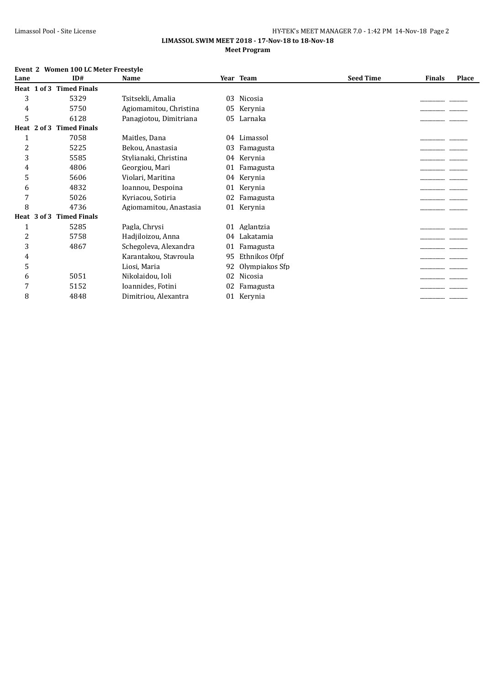#### **LIMASSOL SWIM MEET 2018 - 17-Nov-18 to 18-Nov-18 Meet Program**

### **Event 2 Women 100 LC Meter Freestyle**

| Lane |             | ID#                 | Name                   |    | Year Team      | <b>Seed Time</b> | <b>Finals</b> | Place |
|------|-------------|---------------------|------------------------|----|----------------|------------------|---------------|-------|
|      | Heat 1 of 3 | <b>Timed Finals</b> |                        |    |                |                  |               |       |
| 3    |             | 5329                | Tsitsekli, Amalia      | 03 | Nicosia        |                  |               |       |
| 4    |             | 5750                | Agiomamitou, Christina | 05 | Kervnia        |                  |               |       |
| 5    |             | 6128                | Panagiotou, Dimitriana | 05 | Larnaka        |                  |               |       |
|      | Heat 2 of 3 | <b>Timed Finals</b> |                        |    |                |                  |               |       |
| 1    |             | 7058                | Maitles, Dana          | 04 | Limassol       |                  |               |       |
| 2    |             | 5225                | Bekou, Anastasia       | 03 | Famagusta      |                  |               |       |
| 3    |             | 5585                | Stylianaki, Christina  | 04 | Kerynia        |                  |               |       |
| 4    |             | 4806                | Georgiou, Mari         | 01 | Famagusta      |                  |               |       |
| 5    |             | 5606                | Violari, Maritina      | 04 | Kerynia        |                  |               |       |
| 6    |             | 4832                | Ioannou, Despoina      | 01 | Kerynia        |                  |               |       |
| 7    |             | 5026                | Kyriacou, Sotiria      | 02 | Famagusta      |                  |               |       |
| 8    |             | 4736                | Agiomamitou, Anastasia | 01 | Kerynia        |                  |               |       |
|      | Heat 3 of 3 | <b>Timed Finals</b> |                        |    |                |                  |               |       |
| 1    |             | 5285                | Pagla, Chrysi          | 01 | Aglantzia      |                  |               |       |
| 2    |             | 5758                | Hadjiloizou, Anna      | 04 | Lakatamia      |                  |               |       |
| 3    |             | 4867                | Schegoleva, Alexandra  | 01 | Famagusta      |                  |               |       |
| 4    |             |                     | Karantakou, Stavroula  | 95 | Ethnikos Ofpf  |                  |               |       |
| 5    |             |                     | Liosi, Maria           | 92 | Olympiakos Sfp |                  |               |       |
| 6    |             | 5051                | Nikolaidou, Ioli       | 02 | Nicosia        |                  |               |       |
| 7    |             | 5152                | Ioannides, Fotini      | 02 | Famagusta      |                  |               |       |
| 8    |             | 4848                | Dimitriou, Alexantra   | 01 | Kerynia        |                  |               |       |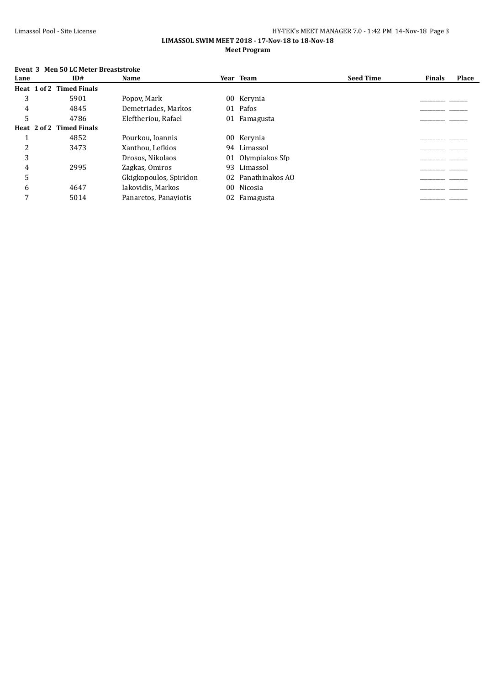#### **LIMASSOL SWIM MEET 2018 - 17-Nov-18 to 18-Nov-18 Meet Program**

# **Event 3 Men 50 LC Meter Breaststroke**

| Lane | ID#                      | Name                   |    | Year Team          | <b>Seed Time</b> | <b>Finals</b> | Place |
|------|--------------------------|------------------------|----|--------------------|------------------|---------------|-------|
|      | Heat 1 of 2 Timed Finals |                        |    |                    |                  |               |       |
| 3    | 5901                     | Popov, Mark            |    | 00 Kerynia         |                  |               |       |
| 4    | 4845                     | Demetriades, Markos    |    | 01 Pafos           |                  |               |       |
| 5    | 4786                     | Eleftheriou, Rafael    |    | 01 Famagusta       |                  |               |       |
|      | Heat 2 of 2 Timed Finals |                        |    |                    |                  |               |       |
|      | 4852                     | Pourkou, Ioannis       |    | 00 Kerynia         |                  |               |       |
| າ    | 3473                     | Xanthou, Lefkios       |    | 94 Limassol        |                  |               |       |
| 3    |                          | Drosos, Nikolaos       | 01 | Olympiakos Sfp     |                  |               |       |
| 4    | 2995                     | Zagkas, Omiros         |    | 93 Limassol        |                  |               |       |
| 5    |                          | Gkigkopoulos, Spiridon |    | 02 Panathinakos AO |                  |               |       |
| 6    | 4647                     | Iakovidis, Markos      |    | 00 Nicosia         |                  |               |       |
|      | 5014                     | Panaretos, Panaviotis  |    | 02 Famagusta       |                  |               |       |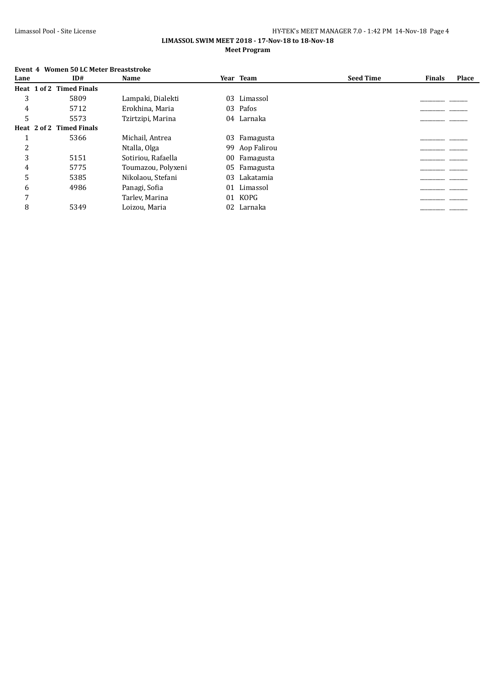#### **LIMASSOL SWIM MEET 2018 - 17-Nov-18 to 18-Nov-18 Meet Program**

# **Event 4 Women 50 LC Meter Breaststroke**

| Lane | ID#                      | <b>Name</b>        |    | Year Team      | <b>Seed Time</b> | <b>Finals</b> | Place |
|------|--------------------------|--------------------|----|----------------|------------------|---------------|-------|
|      | Heat 1 of 2 Timed Finals |                    |    |                |                  |               |       |
| 3    | 5809                     | Lampaki, Dialekti  | 03 | Limassol       |                  |               |       |
| 4    | 5712                     | Erokhina, Maria    |    | 03 Pafos       |                  |               |       |
|      | 5573                     | Tzirtzipi, Marina  |    | 04 Larnaka     |                  |               |       |
|      | Heat 2 of 2 Timed Finals |                    |    |                |                  |               |       |
|      | 5366                     | Michail, Antrea    |    | 03 Famagusta   |                  |               |       |
|      |                          | Ntalla, Olga       |    | 99 Aop Falirou |                  |               |       |
| 3    | 5151                     | Sotiriou, Rafaella |    | 00 Famagusta   |                  |               |       |
| 4    | 5775                     | Toumazou, Polyxeni |    | 05 Famagusta   |                  |               |       |
| 5    | 5385                     | Nikolaou, Stefani  | 03 | Lakatamia      |                  |               |       |
| 6    | 4986                     | Panagi, Sofia      | 01 | Limassol       |                  |               |       |
| 7    |                          | Tarlev, Marina     | 01 | KOPG           |                  |               |       |
| 8    | 5349                     | Loizou, Maria      |    | 02 Larnaka     |                  |               |       |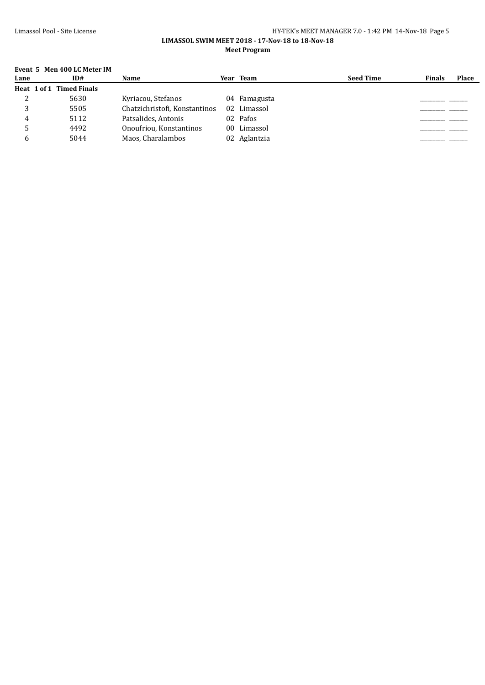#### Limassol Pool - Site License **HY-TEK's MEET MANAGER 7.0 - 1:42 PM 14-Nov-18** Page 5 **LIMASSOL SWIM MEET 2018 - 17-Nov-18 to 18-Nov-18**

**Meet Program**

## **Event 5 Men 400 LC Meter IM**

| Lane | ID#                      | Name                          | Year Team    | <b>Seed Time</b> | <b>Finals</b> | <b>Place</b> |
|------|--------------------------|-------------------------------|--------------|------------------|---------------|--------------|
|      | Heat 1 of 1 Timed Finals |                               |              |                  |               |              |
|      | 5630                     | Kyriacou, Stefanos            | 04 Famagusta |                  |               |              |
|      | 5505                     | Chatzichristofi, Konstantinos | 02 Limassol  |                  |               |              |
| 4    | 5112                     | Patsalides, Antonis           | 02 Pafos     |                  |               |              |
|      | 4492                     | Onoufriou, Konstantinos       | 00 Limassol  |                  |               |              |
|      | 5044                     | Maos, Charalambos             | 02 Aglantzia |                  |               |              |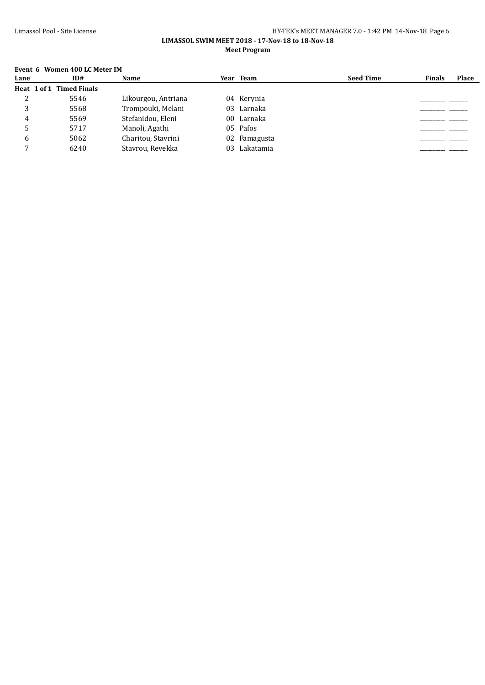#### Limassol Pool - Site License **HY-TEK's MEET MANAGER 7.0 - 1:42 PM 14-Nov-18** Page 6 **LIMASSOL SWIM MEET 2018 - 17-Nov-18 to 18-Nov-18**

**Meet Program**

## **Event 6 Women 400 LC Meter IM**

| Lane | ID#                      | Name                |    | Year Team    | <b>Seed Time</b> | <b>Finals</b> | <b>Place</b> |
|------|--------------------------|---------------------|----|--------------|------------------|---------------|--------------|
|      | Heat 1 of 1 Timed Finals |                     |    |              |                  |               |              |
|      | 5546                     | Likourgou, Antriana |    | 04 Kerynia   |                  |               |              |
| 3    | 5568                     | Trompouki, Melani   |    | 03 Larnaka   |                  |               |              |
| 4    | 5569                     | Stefanidou, Eleni   | 00 | Larnaka      |                  |               |              |
|      | 5717                     | Manoli, Agathi      |    | 05 Pafos     |                  |               |              |
|      | 5062                     | Charitou, Stavrini  |    | 02 Famagusta |                  |               |              |
|      | 6240                     | Stavrou, Revekka    | 03 | Lakatamia    |                  |               |              |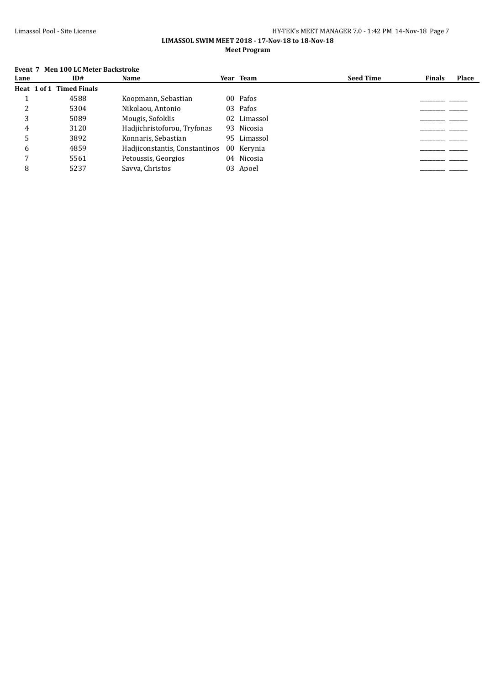#### Limassol Pool - Site License HY-TEK's MEET MANAGER 7.0 - 1:42 PM 14-Nov-18 Page 7 **LIMASSOL SWIM MEET 2018 - 17-Nov-18 to 18-Nov-18**

**Meet Program**

## **Event 7 Men 100 LC Meter Backstroke**

| Lane         | ID#                      | Name                          | Year Team   | <b>Seed Time</b> | <b>Finals</b> | <b>Place</b> |
|--------------|--------------------------|-------------------------------|-------------|------------------|---------------|--------------|
|              | Heat 1 of 1 Timed Finals |                               |             |                  |               |              |
|              | 4588                     | Koopmann, Sebastian           | 00 Pafos    |                  |               |              |
|              | 5304                     | Nikolaou, Antonio             | 03 Pafos    |                  |               |              |
| 3            | 5089                     | Mougis, Sofoklis              | 02 Limassol |                  |               |              |
|              | 3120                     | Hadjichristoforou, Tryfonas   | 93 Nicosia  |                  |               |              |
|              | 3892                     | Konnaris, Sebastian           | 95 Limassol |                  |               |              |
| <sub>6</sub> | 4859                     | Hadiiconstantis, Constantinos | 00 Kerynia  |                  |               |              |
|              | 5561                     | Petoussis, Georgios           | 04 Nicosia  |                  |               |              |
| 8            | 5237                     | Savva, Christos               | 03 Apoel    |                  |               |              |
|              |                          |                               |             |                  |               |              |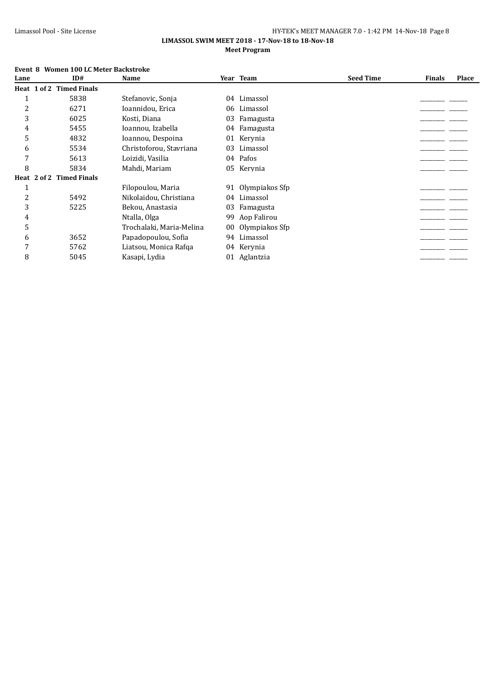#### **LIMASSOL SWIM MEET 2018 - 17-Nov-18 to 18-Nov-18 Meet Program**

# **Event 8 Women 100 LC Meter Backstroke**

| Lane | ID#                      | Name                     |    | Year Team      | <b>Seed Time</b> | <b>Finals</b> | Place |
|------|--------------------------|--------------------------|----|----------------|------------------|---------------|-------|
|      | Heat 1 of 2 Timed Finals |                          |    |                |                  |               |       |
|      | 5838                     | Stefanovic, Sonja        | 04 | Limassol       |                  |               |       |
| 2    | 6271                     | Ioannidou, Erica         | 06 | Limassol       |                  |               |       |
| 3    | 6025                     | Kosti, Diana             | 03 | Famagusta      |                  |               |       |
| 4    | 5455                     | Ioannou, Izabella        | 04 | Famagusta      |                  |               |       |
| 5    | 4832                     | Ioannou, Despoina        | 01 | Kervnia        |                  |               |       |
| 6    | 5534                     | Christoforou, Stavriana  | 03 | Limassol       |                  |               |       |
|      | 5613                     | Loizidi, Vasilia         |    | 04 Pafos       |                  |               |       |
| 8    | 5834                     | Mahdi, Mariam            |    | 05 Kerynia     |                  |               |       |
|      | Heat 2 of 2 Timed Finals |                          |    |                |                  |               |       |
|      |                          | Filopoulou, Maria        | 91 | Olympiakos Sfp |                  |               |       |
| 2    | 5492                     | Nikolaidou, Christiana   | 04 | Limassol       |                  |               |       |
| 3    | 5225                     | Bekou, Anastasia         | 03 | Famagusta      |                  |               |       |
| 4    |                          | Ntalla, Olga             | 99 | Aop Falirou    |                  |               |       |
| 5    |                          | Trochalaki, Maria-Melina | 00 | Olympiakos Sfp |                  |               |       |
| 6    | 3652                     | Papadopoulou, Sofia      | 94 | Limassol       |                  |               |       |
| 7    | 5762                     | Liatsou, Monica Rafqa    |    | 04 Kerynia     |                  |               |       |
| 8    | 5045                     | Kasapi, Lydia            |    | 01 Aglantzia   |                  |               |       |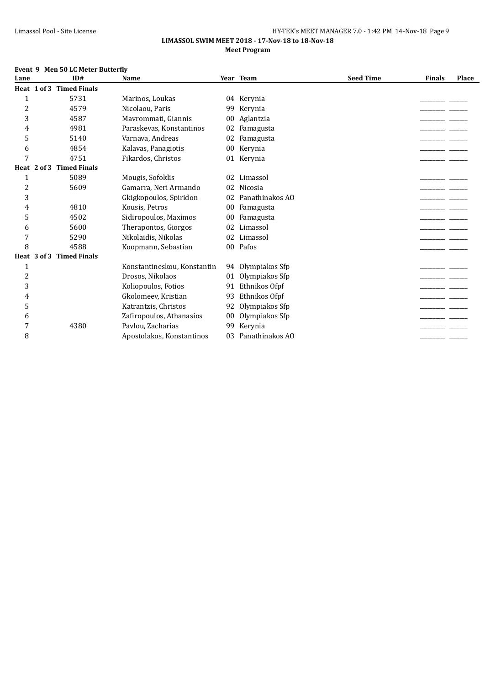#### Limassol Pool - Site License **HY-TEK's MEET MANAGER 7.0 - 1:42 PM 14-Nov-18** Page 9 **LIMASSOL SWIM MEET 2018 - 17-Nov-18 to 18-Nov-18**

#### **Meet Program**

## **Event 9 Men 50 LC Meter Butterfly**

| Lane           |                 | ID#                      | Name                        |    | Year Team       | <b>Seed Time</b> | <b>Finals</b> | Place |
|----------------|-----------------|--------------------------|-----------------------------|----|-----------------|------------------|---------------|-------|
|                |                 | Heat 1 of 3 Timed Finals |                             |    |                 |                  |               |       |
| $\mathbf{1}$   |                 | 5731                     | Marinos, Loukas             | 04 | Kerynia         |                  |               |       |
| $\overline{c}$ |                 | 4579                     | Nicolaou, Paris             | 99 | Kervnia         |                  |               |       |
| 3              |                 | 4587                     | Mavrommati, Giannis         | 00 | Aglantzia       |                  |               |       |
| 4              |                 | 4981                     | Paraskevas, Konstantinos    | 02 | Famagusta       |                  |               |       |
| 5              |                 | 5140                     | Varnava, Andreas            | 02 | Famagusta       |                  |               |       |
| 6              |                 | 4854                     | Kalavas, Panagiotis         | 00 | Kerynia         |                  |               |       |
| 7              |                 | 4751                     | Fikardos, Christos          | 01 | Kerynia         |                  |               |       |
|                | Heat $2$ of $3$ | <b>Timed Finals</b>      |                             |    |                 |                  |               |       |
| 1              |                 | 5089                     | Mougis, Sofoklis            | 02 | Limassol        |                  |               |       |
| $\overline{c}$ |                 | 5609                     | Gamarra, Neri Armando       | 02 | Nicosia         |                  |               |       |
| 3              |                 |                          | Gkigkopoulos, Spiridon      | 02 | Panathinakos AO |                  |               |       |
| 4              |                 | 4810                     | Kousis, Petros              | 00 | Famagusta       |                  |               |       |
| 5              |                 | 4502                     | Sidiropoulos, Maximos       | 00 | Famagusta       |                  |               |       |
| 6              |                 | 5600                     | Therapontos, Giorgos        | 02 | Limassol        |                  |               |       |
| 7              |                 | 5290                     | Nikolaidis, Nikolas         | 02 | Limassol        |                  |               |       |
| 8              |                 | 4588                     | Koopmann, Sebastian         |    | 00 Pafos        |                  |               |       |
|                | Heat 3 of 3     | <b>Timed Finals</b>      |                             |    |                 |                  |               |       |
| 1              |                 |                          | Konstantineskou, Konstantin | 94 | Olympiakos Sfp  |                  |               |       |
| $\overline{c}$ |                 |                          | Drosos, Nikolaos            | 01 | Olympiakos Sfp  |                  |               |       |
| 3              |                 |                          | Koliopoulos, Fotios         | 91 | Ethnikos Ofpf   |                  |               |       |
| 4              |                 |                          | Gkolomeev, Kristian         | 93 | Ethnikos Ofpf   |                  |               |       |
| 5              |                 |                          | Katrantzis, Christos        | 92 | Olympiakos Sfp  |                  |               |       |
| 6              |                 |                          | Zafiropoulos, Athanasios    | 00 | Olympiakos Sfp  |                  |               |       |
| 7              |                 | 4380                     | Pavlou, Zacharias           | 99 | Kerynia         |                  |               |       |
| 8              |                 |                          | Apostolakos, Konstantinos   | 03 | Panathinakos AO |                  |               |       |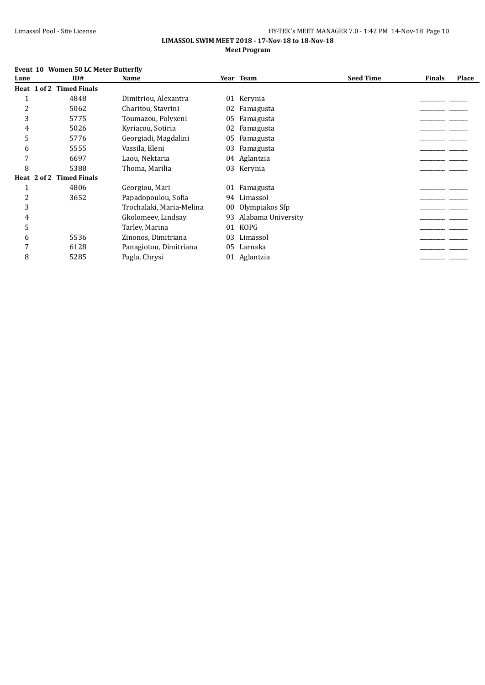#### **LIMASSOL SWIM MEET 2018 - 17-Nov-18 to 18-Nov-18 Meet Program**

# **Event 10 Women 50 LC Meter Butterfly**

| Lane | ID#                      | Name                     |    | Year Team          | <b>Seed Time</b> | <b>Finals</b> | Place |
|------|--------------------------|--------------------------|----|--------------------|------------------|---------------|-------|
|      | Heat 1 of 2 Timed Finals |                          |    |                    |                  |               |       |
|      | 4848                     | Dimitriou, Alexantra     |    | 01 Kerynia         |                  |               |       |
| 2    | 5062                     | Charitou, Stavrini       | 02 | Famagusta          |                  |               |       |
| 3    | 5775                     | Toumazou, Polyxeni       | 05 | Famagusta          |                  |               |       |
| 4    | 5026                     | Kyriacou, Sotiria        | 02 | Famagusta          |                  |               |       |
| 5    | 5776                     | Georgiadi, Magdalini     | 05 | Famagusta          |                  |               |       |
| 6    | 5555                     | Vassila, Eleni           | 03 | Famagusta          |                  |               |       |
|      | 6697                     | Laou, Nektaria           |    | 04 Aglantzia       |                  |               |       |
| 8    | 5388                     | Thoma, Marilia           |    | 03 Kerynia         |                  |               |       |
|      | Heat 2 of 2 Timed Finals |                          |    |                    |                  |               |       |
|      | 4806                     | Georgiou, Mari           |    | 01 Famagusta       |                  |               |       |
| 2    | 3652                     | Papadopoulou, Sofia      |    | 94 Limassol        |                  |               |       |
| 3    |                          | Trochalaki, Maria-Melina | 00 | Olympiakos Sfp     |                  |               |       |
| 4    |                          | Gkolomeey, Lindsay       | 93 | Alabama University |                  |               |       |
| 5    |                          | Tarlev, Marina           | 01 | <b>KOPG</b>        |                  |               |       |
| 6    | 5536                     | Zinonos, Dimitriana      | 03 | Limassol           |                  |               |       |
|      | 6128                     | Panagiotou, Dimitriana   | 05 | Larnaka            |                  |               |       |
| 8    | 5285                     | Pagla, Chrysi            |    | 01 Aglantzia       |                  |               |       |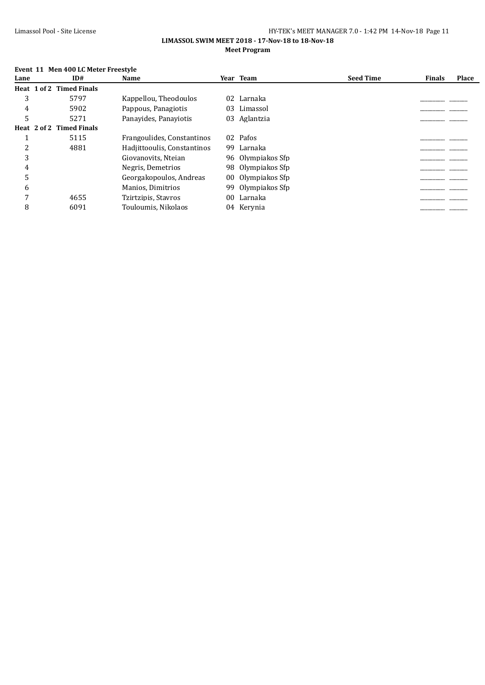#### **LIMASSOL SWIM MEET 2018 - 17-Nov-18 to 18-Nov-18 Meet Program**

# **Event 11 Men 400 LC Meter Freestyle**

| Lane | ID#                      | Name                        |    | Year Team         | <b>Seed Time</b> | <b>Finals</b> | Place |
|------|--------------------------|-----------------------------|----|-------------------|------------------|---------------|-------|
|      | Heat 1 of 2 Timed Finals |                             |    |                   |                  |               |       |
| 3    | 5797                     | Kappellou, Theodoulos       | 02 | Larnaka           |                  |               |       |
| 4    | 5902                     | Pappous, Panagiotis         | 03 | Limassol          |                  |               |       |
|      | 5271                     | Panavides. Panaviotis       | 03 | Aglantzia         |                  |               |       |
|      | Heat 2 of 2 Timed Finals |                             |    |                   |                  |               |       |
|      | 5115                     | Frangoulides, Constantinos  |    | 02 Pafos          |                  |               |       |
|      | 4881                     | Hadjittooulis, Constantinos |    | 99 Larnaka        |                  |               |       |
|      |                          | Giovanovits, Nteian         |    | 96 Olympiakos Sfp |                  |               |       |
| 4    |                          | Negris, Demetrios           |    | 98 Olympiakos Sfp |                  |               |       |
|      |                          | Georgakopoulos, Andreas     |    | 00 Olympiakos Sfp |                  |               |       |
| 6    |                          | Manios, Dimitrios           |    | 99 Olympiakos Sfp |                  |               |       |
|      | 4655                     | Tzirtzipis, Stavros         | 00 | Larnaka           |                  |               |       |
| 8    | 6091                     | Touloumis, Nikolaos         |    | 04 Kervnia        |                  |               |       |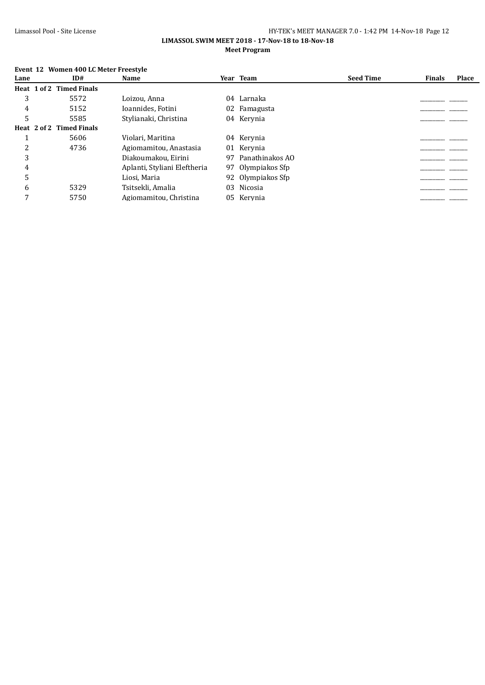#### **LIMASSOL SWIM MEET 2018 - 17-Nov-18 to 18-Nov-18 Meet Program**

# **Event 12 Women 400 LC Meter Freestyle**

| Lane | ID#                      | Name                         |    | Year Team          | <b>Seed Time</b> | <b>Finals</b> | Place |
|------|--------------------------|------------------------------|----|--------------------|------------------|---------------|-------|
|      | Heat 1 of 2 Timed Finals |                              |    |                    |                  |               |       |
| 3    | 5572                     | Loizou, Anna                 |    | 04 Larnaka         |                  |               |       |
| 4    | 5152                     | Ioannides, Fotini            |    | 02 Famagusta       |                  |               |       |
| 5    | 5585                     | Stylianaki, Christina        |    | 04 Kerynia         |                  |               |       |
|      | Heat 2 of 2 Timed Finals |                              |    |                    |                  |               |       |
|      | 5606                     | Violari, Maritina            |    | 04 Kerynia         |                  |               |       |
| C    | 4736                     | Agiomamitou, Anastasia       |    | 01 Kerynia         |                  |               |       |
| 3    |                          | Diakoumakou, Eirini          |    | 97 Panathinakos AO |                  |               |       |
| 4    |                          | Aplanti, Styliani Eleftheria |    | 97 Olympiakos Sfp  |                  |               |       |
| 5    |                          | Liosi, Maria                 |    | 92 Olympiakos Sfp  |                  |               |       |
| 6    | 5329                     | Tsitsekli, Amalia            | 03 | Nicosia            |                  |               |       |
| 7    | 5750                     | Agiomamitou, Christina       |    | 05 Kerynia         |                  |               |       |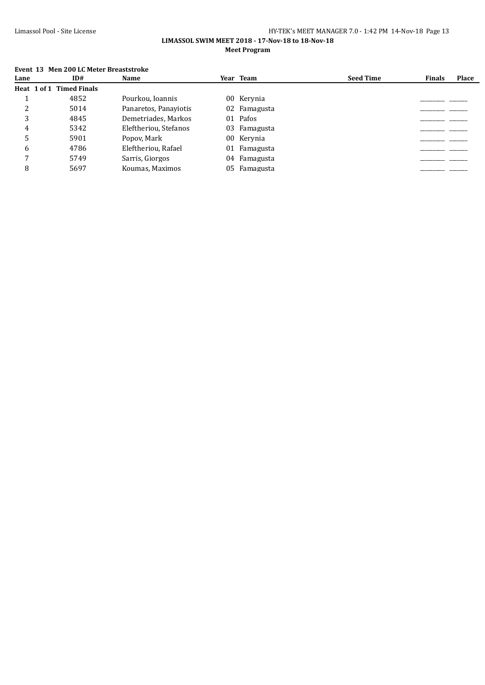#### Limassol Pool - Site License HY-TEK's MEET MANAGER 7.0 - 1:42 PM 14-Nov-18 Page 13 **LIMASSOL SWIM MEET 2018 - 17-Nov-18 to 18-Nov-18**

## **Meet Program**

## **Event 13 Men 200 LC Meter Breaststroke**

| Lane | ID#                      | Name                  | Year Team    | <b>Seed Time</b> | <b>Finals</b> | <b>Place</b> |
|------|--------------------------|-----------------------|--------------|------------------|---------------|--------------|
|      | Heat 1 of 1 Timed Finals |                       |              |                  |               |              |
|      | 4852                     | Pourkou, Ioannis      | 00 Kerynia   |                  |               |              |
|      | 5014                     | Panaretos, Panaviotis | 02 Famagusta |                  |               |              |
|      | 4845                     | Demetriades, Markos   | 01 Pafos     |                  |               |              |
| 4    | 5342                     | Eleftheriou, Stefanos | 03 Famagusta |                  |               |              |
|      | 5901                     | Popov, Mark           | 00 Kerynia   |                  |               |              |
| 6    | 4786                     | Eleftheriou, Rafael   | 01 Famagusta |                  |               |              |
|      | 5749                     | Sarris, Giorgos       | 04 Famagusta |                  |               |              |
|      | 5697                     | Koumas, Maximos       | 05 Famagusta |                  |               |              |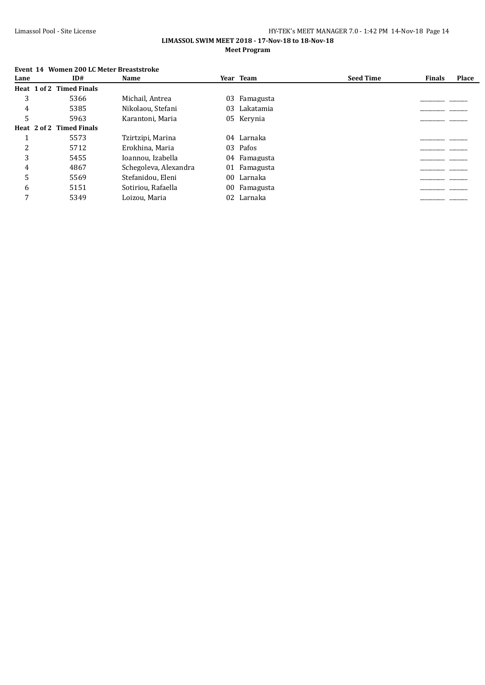#### **LIMASSOL SWIM MEET 2018 - 17-Nov-18 to 18-Nov-18 Meet Program**

|      | LVEIIL 14 WUILLEIL ZUU LUITELEI DI CASISLIUNE |                          |                       |    |            |                  |               |       |  |  |  |  |
|------|-----------------------------------------------|--------------------------|-----------------------|----|------------|------------------|---------------|-------|--|--|--|--|
| Lane |                                               | ID#                      | Name                  |    | Year Team  | <b>Seed Time</b> | <b>Finals</b> | Place |  |  |  |  |
|      |                                               | Heat 1 of 2 Timed Finals |                       |    |            |                  |               |       |  |  |  |  |
| 3    |                                               | 5366                     | Michail, Antrea       | 03 | Famagusta  |                  |               |       |  |  |  |  |
| 4    |                                               | 5385                     | Nikolaou, Stefani     | 03 | Lakatamia  |                  |               |       |  |  |  |  |
| 5    |                                               | 5963                     | Karantoni, Maria      |    | 05 Kerynia |                  |               |       |  |  |  |  |
|      |                                               | Heat 2 of 2 Timed Finals |                       |    |            |                  |               |       |  |  |  |  |
|      |                                               | 5573                     | Tzirtzipi, Marina     |    | 04 Larnaka |                  |               |       |  |  |  |  |
| 2    |                                               | 5712                     | Erokhina. Maria       |    | 03 Pafos   |                  |               |       |  |  |  |  |
| 3    |                                               | 5455                     | Ioannou, Izabella     | 04 | Famagusta  |                  |               |       |  |  |  |  |
| 4    |                                               | 4867                     | Schegoleva, Alexandra | 01 | Famagusta  |                  |               |       |  |  |  |  |
| 5    |                                               | 5569                     | Stefanidou, Eleni     | 00 | Larnaka    |                  |               |       |  |  |  |  |
| 6    |                                               | 5151                     | Sotiriou, Rafaella    | 00 | Famagusta  |                  |               |       |  |  |  |  |
| 7    |                                               | 5349                     | Loizou, Maria         |    | 02 Larnaka |                  |               |       |  |  |  |  |
|      |                                               |                          |                       |    |            |                  |               |       |  |  |  |  |

# **Event 14 Women 200 LC Meter Breaststroke**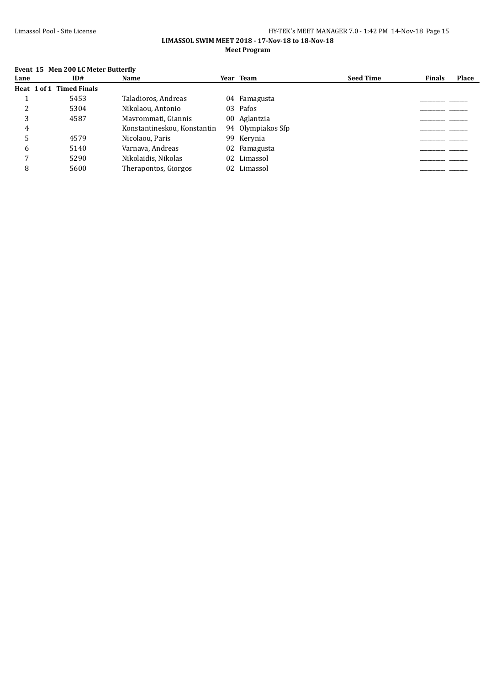#### **LIMASSOL SWIM MEET 2018 - 17-Nov-18 to 18-Nov-18 Meet Program**

# **Event 15 Men 200 LC Meter Butterfly**

| Lane         | ID#                      | Name                        | Year Team         | <b>Seed Time</b> | <b>Finals</b> | <b>Place</b> |
|--------------|--------------------------|-----------------------------|-------------------|------------------|---------------|--------------|
|              | Heat 1 of 1 Timed Finals |                             |                   |                  |               |              |
|              | 5453                     | Taladioros, Andreas         | 04 Famagusta      |                  |               |              |
|              | 5304                     | Nikolaou, Antonio           | 03 Pafos          |                  |               |              |
| 3            | 4587                     | Mavrommati, Giannis         | 00 Aglantzia      |                  |               |              |
| 4            |                          | Konstantineskou, Konstantin | 94 Olympiakos Sfp |                  |               |              |
|              | 4579                     | Nicolaou, Paris             | 99 Kervnia        |                  |               |              |
| <sub>6</sub> | 5140                     | Varnava, Andreas            | 02 Famagusta      |                  |               |              |
|              | 5290                     | Nikolaidis, Nikolas         | 02 Limassol       |                  |               |              |
| 8            | 5600                     | Therapontos, Giorgos        | 02 Limassol       |                  |               |              |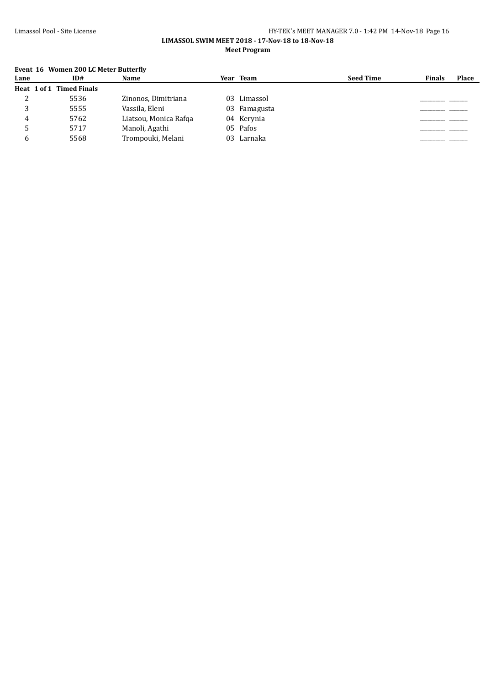#### **LIMASSOL SWIM MEET 2018 - 17-Nov-18 to 18-Nov-18 Meet Program**

# **Event 16 Women 200 LC Meter Butterfly**

| Lane | ID#                      | Name                  | Year Team    | <b>Seed Time</b> | <b>Finals</b> | <b>Place</b> |
|------|--------------------------|-----------------------|--------------|------------------|---------------|--------------|
|      | Heat 1 of 1 Timed Finals |                       |              |                  |               |              |
| ∠    | 5536                     | Zinonos, Dimitriana   | 03 Limassol  |                  |               |              |
|      | 5555                     | Vassila, Eleni        | 03 Famagusta |                  |               |              |
|      | 5762                     | Liatsou, Monica Rafga | 04 Kerynia   |                  |               |              |
|      | 5717                     | Manoli, Agathi        | 05 Pafos     |                  |               |              |
|      | 5568                     | Trompouki, Melani     | 03 Larnaka   |                  |               |              |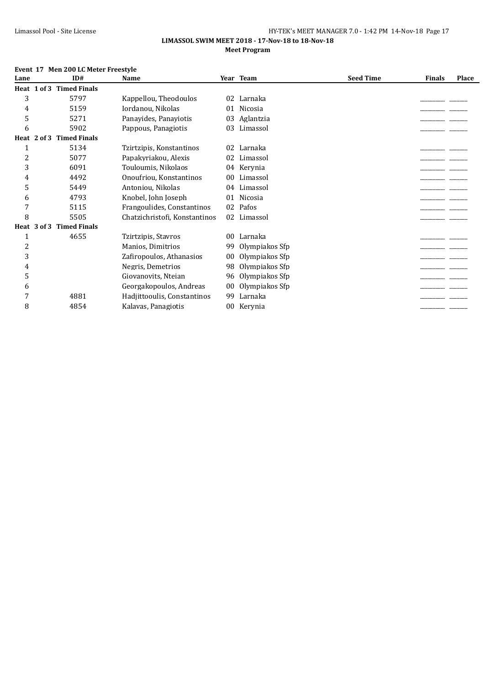#### **LIMASSOL SWIM MEET 2018 - 17-Nov-18 to 18-Nov-18 Meet Program**

#### **Event 17 Men 200 LC Meter Freestyle**

| Lane |                 | ID#                      | Name                          |                 | Year Team      | <b>Seed Time</b> | <b>Finals</b> | Place |
|------|-----------------|--------------------------|-------------------------------|-----------------|----------------|------------------|---------------|-------|
|      |                 | Heat 1 of 3 Timed Finals |                               |                 |                |                  |               |       |
| 3    |                 | 5797                     | Kappellou, Theodoulos         | 02              | Larnaka        |                  |               |       |
| 4    |                 | 5159                     | Iordanou, Nikolas             | 01              | Nicosia        |                  |               |       |
| 5    |                 | 5271                     | Panayides, Panayiotis         | 03              | Aglantzia      |                  |               |       |
| 6    |                 | 5902                     | Pappous, Panagiotis           | 03              | Limassol       |                  |               |       |
|      | Heat $2$ of $3$ | <b>Timed Finals</b>      |                               |                 |                |                  |               |       |
|      |                 | 5134                     | Tzirtzipis, Konstantinos      | 02              | Larnaka        |                  |               |       |
| 2    |                 | 5077                     | Papakyriakou, Alexis          | 02              | Limassol       |                  |               |       |
| 3    |                 | 6091                     | Touloumis, Nikolaos           |                 | 04 Kerynia     |                  |               |       |
| 4    |                 | 4492                     | Onoufriou, Konstantinos       | 00 <sup>°</sup> | Limassol       |                  |               |       |
| 5    |                 | 5449                     | Antoniou, Nikolas             | 04              | Limassol       |                  |               |       |
| 6    |                 | 4793                     | Knobel, John Joseph           | 01              | Nicosia        |                  |               |       |
| 7    |                 | 5115                     | Frangoulides, Constantinos    | 02              | Pafos          |                  |               |       |
| 8    |                 | 5505                     | Chatzichristofi, Konstantinos |                 | 02 Limassol    |                  |               |       |
|      | Heat 3 of 3     | <b>Timed Finals</b>      |                               |                 |                |                  |               |       |
|      |                 | 4655                     | Tzirtzipis, Stavros           | 00              | Larnaka        |                  |               |       |
| 2    |                 |                          | Manios, Dimitrios             | 99              | Olympiakos Sfp |                  |               |       |
| 3    |                 |                          | Zafiropoulos, Athanasios      | 00              | Olympiakos Sfp |                  |               |       |
| 4    |                 |                          | Negris, Demetrios             | 98              | Olympiakos Sfp |                  |               |       |
| 5    |                 |                          | Giovanovits, Nteian           | 96              | Olympiakos Sfp |                  |               |       |
| 6    |                 |                          | Georgakopoulos, Andreas       | 00              | Olympiakos Sfp |                  |               |       |
| 7    |                 | 4881                     | Hadjittooulis, Constantinos   | 99              | Larnaka        |                  |               |       |
| 8    |                 | 4854                     | Kalavas, Panagiotis           |                 | 00 Kerynia     |                  |               |       |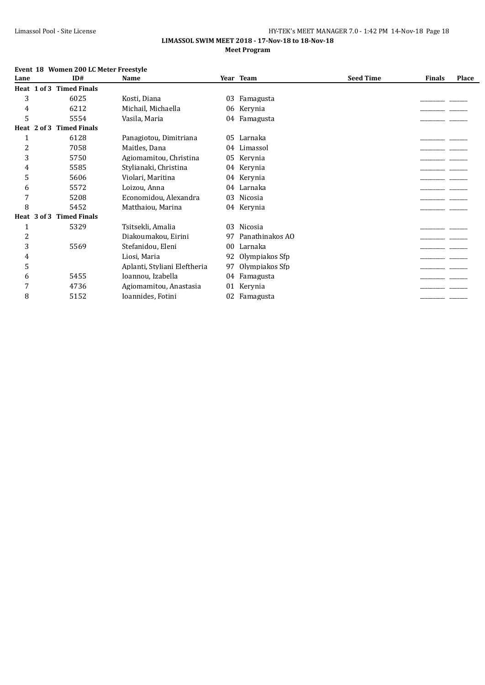#### **LIMASSOL SWIM MEET 2018 - 17-Nov-18 to 18-Nov-18 Meet Program**

|      | Event 18 Women 200 LC Meter Freestyle |                              |    |                 |                  |               |       |
|------|---------------------------------------|------------------------------|----|-----------------|------------------|---------------|-------|
| Lane | ID#                                   | Name                         |    | Year Team       | <b>Seed Time</b> | <b>Finals</b> | Place |
|      | Heat 1 of 3 Timed Finals              |                              |    |                 |                  |               |       |
| 3    | 6025                                  | Kosti, Diana                 | 03 | Famagusta       |                  |               |       |
| 4    | 6212                                  | Michail, Michaella           | 06 | Kerynia         |                  |               |       |
| 5    | 5554                                  | Vasila, Maria                |    | 04 Famagusta    |                  |               |       |
|      | <b>Timed Finals</b><br>Heat 2 of 3    |                              |    |                 |                  |               |       |
| 1    | 6128                                  | Panagiotou, Dimitriana       |    | 05 Larnaka      |                  |               |       |
| 2    | 7058                                  | Maitles, Dana                | 04 | Limassol        |                  |               |       |
| 3    | 5750                                  | Agiomamitou, Christina       | 05 | Kerynia         |                  |               |       |
| 4    | 5585                                  | Stylianaki, Christina        | 04 | Kerynia         |                  |               |       |
| 5    | 5606                                  | Violari, Maritina            | 04 | Kerynia         |                  |               |       |
| 6    | 5572                                  | Loizou, Anna                 |    | 04 Larnaka      |                  |               |       |
| 7    | 5208                                  | Economidou, Alexandra        | 03 | Nicosia         |                  |               |       |
| 8    | 5452                                  | Matthaiou, Marina            |    | 04 Kerynia      |                  |               |       |
|      | Heat 3 of 3<br><b>Timed Finals</b>    |                              |    |                 |                  |               |       |
| 1    | 5329                                  | Tsitsekli, Amalia            | 03 | Nicosia         |                  |               |       |
| 2    |                                       | Diakoumakou, Eirini          | 97 | Panathinakos AO |                  |               |       |
| 3    | 5569                                  | Stefanidou, Eleni            | 00 | Larnaka         |                  |               |       |
| 4    |                                       | Liosi, Maria                 | 92 | Olympiakos Sfp  |                  |               |       |
| 5    |                                       | Aplanti, Styliani Eleftheria | 97 | Olympiakos Sfp  |                  |               |       |
| 6    | 5455                                  | Ioannou, Izabella            | 04 | Famagusta       |                  |               |       |
| 7    | 4736                                  | Agiomamitou, Anastasia       | 01 | Kerynia         |                  |               |       |
| 8    | 5152                                  | Ioannides, Fotini            | 02 | Famagusta       |                  |               |       |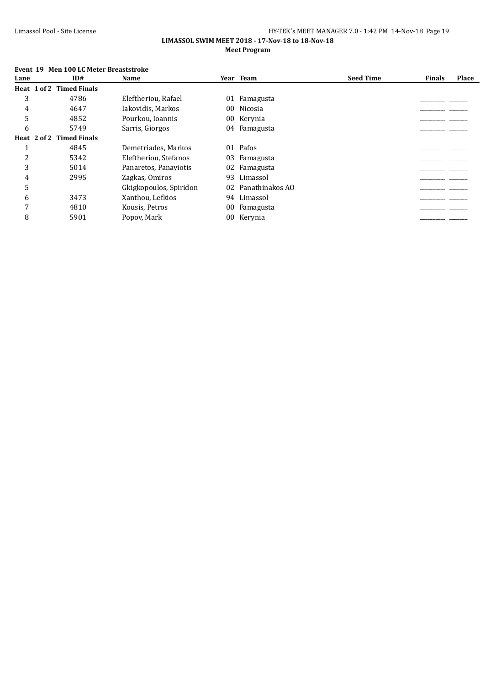#### **LIMASSOL SWIM MEET 2018 - 17-Nov-18 to 18-Nov-18 Meet Program**

# **Event 19 Men 100 LC Meter Breaststroke**

| ID#  | Name                                                 |    | <b>Seed Time</b>                                                                                                                                                                                          | <b>Finals</b> | Place |
|------|------------------------------------------------------|----|-----------------------------------------------------------------------------------------------------------------------------------------------------------------------------------------------------------|---------------|-------|
|      |                                                      |    |                                                                                                                                                                                                           |               |       |
| 4786 | Eleftheriou, Rafael                                  | 01 |                                                                                                                                                                                                           |               |       |
| 4647 | Iakovidis, Markos                                    |    |                                                                                                                                                                                                           |               |       |
| 4852 | Pourkou, Ioannis                                     |    |                                                                                                                                                                                                           |               |       |
| 5749 | Sarris, Giorgos                                      |    |                                                                                                                                                                                                           |               |       |
|      |                                                      |    |                                                                                                                                                                                                           |               |       |
| 4845 | Demetriades, Markos                                  | 01 |                                                                                                                                                                                                           |               |       |
| 5342 | Eleftheriou, Stefanos                                |    |                                                                                                                                                                                                           |               |       |
| 5014 | Panaretos, Panayiotis                                |    |                                                                                                                                                                                                           |               |       |
| 2995 | Zagkas, Omiros                                       |    |                                                                                                                                                                                                           |               |       |
|      | Gkigkopoulos, Spiridon                               |    |                                                                                                                                                                                                           |               |       |
| 3473 | Xanthou, Lefkios                                     |    |                                                                                                                                                                                                           |               |       |
| 4810 | Kousis, Petros                                       |    |                                                                                                                                                                                                           |               |       |
| 5901 | Popov, Mark                                          |    |                                                                                                                                                                                                           |               |       |
|      | Heat 1 of 2 Timed Finals<br>Heat 2 of 2 Timed Finals |    | Year Team<br>Famagusta<br>00 Nicosia<br>00 Kerynia<br>04 Famagusta<br>Pafos<br>03<br>Famagusta<br>02 Famagusta<br>Limassol<br>93<br>02 Panathinakos AO<br>94 Limassol<br>00<br>Famagusta<br>Kervnia<br>00 |               |       |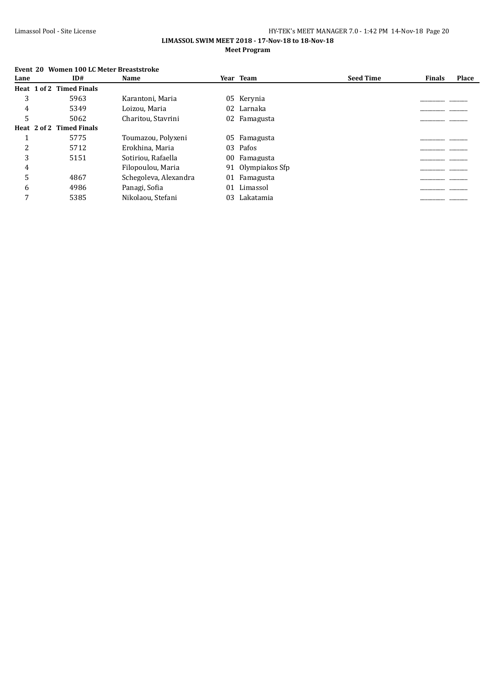#### **LIMASSOL SWIM MEET 2018 - 17-Nov-18 to 18-Nov-18 Meet Program**

|      | Event 20 Women 100 LC Meter Breaststroke |                       |    |                |                  |               |              |
|------|------------------------------------------|-----------------------|----|----------------|------------------|---------------|--------------|
| Lane | ID#                                      | Name                  |    | Year Team      | <b>Seed Time</b> | <b>Finals</b> | <b>Place</b> |
|      | Heat 1 of 2 Timed Finals                 |                       |    |                |                  |               |              |
| 3    | 5963                                     | Karantoni, Maria      |    | 05 Kerynia     |                  |               |              |
| 4    | 5349                                     | Loizou, Maria         | 02 | Larnaka        |                  |               |              |
| 5    | 5062                                     | Charitou, Stavrini    |    | 02 Famagusta   |                  |               |              |
|      | Heat 2 of 2 Timed Finals                 |                       |    |                |                  |               |              |
|      | 5775                                     | Toumazou, Polyxeni    |    | 05 Famagusta   |                  |               |              |
| 2    | 5712                                     | Erokhina, Maria       | 03 | Pafos          |                  |               |              |
| 3    | 5151                                     | Sotiriou, Rafaella    | 00 | Famagusta      |                  |               |              |
| 4    |                                          | Filopoulou, Maria     | 91 | Olympiakos Sfp |                  |               |              |
| 5    | 4867                                     | Schegoleva, Alexandra | 01 | Famagusta      |                  |               |              |
| 6    | 4986                                     | Panagi, Sofia         | 01 | Limassol       |                  |               |              |
| 7    | 5385                                     | Nikolaou, Stefani     | 03 | Lakatamia      |                  |               |              |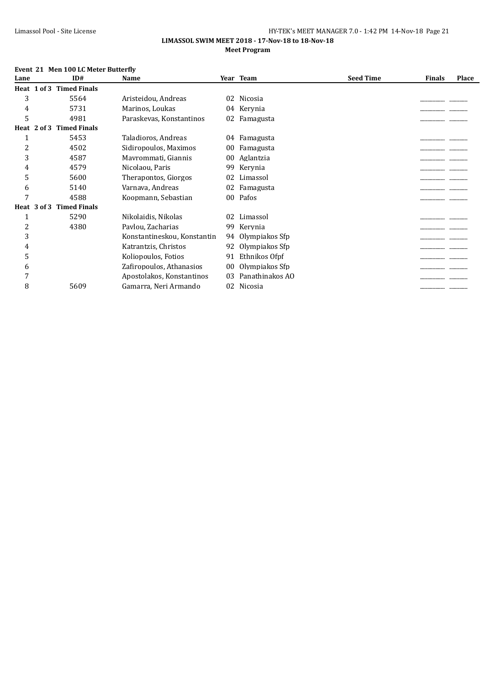#### **LIMASSOL SWIM MEET 2018 - 17-Nov-18 to 18-Nov-18 Meet Program**

## **Event 21 Men 100 LC Meter Butterfly**

| Lane |             | ID#                 | Name                        |    | Year Team       | <b>Seed Time</b> | <b>Finals</b> | Place |
|------|-------------|---------------------|-----------------------------|----|-----------------|------------------|---------------|-------|
|      | Heat 1 of 3 | <b>Timed Finals</b> |                             |    |                 |                  |               |       |
| 3    |             | 5564                | Aristeidou, Andreas         | 02 | Nicosia         |                  |               |       |
| 4    |             | 5731                | Marinos, Loukas             |    | 04 Kerynia      |                  |               |       |
| 5    |             | 4981                | Paraskevas, Konstantinos    | 02 | Famagusta       |                  |               |       |
|      | Heat 2 of 3 | <b>Timed Finals</b> |                             |    |                 |                  |               |       |
| 1    |             | 5453                | Taladioros, Andreas         |    | 04 Famagusta    |                  |               |       |
| 2    |             | 4502                | Sidiropoulos, Maximos       | 00 | Famagusta       |                  |               |       |
| 3    |             | 4587                | Mayrommati, Giannis         | 00 | Aglantzia       |                  |               |       |
| 4    |             | 4579                | Nicolaou, Paris             | 99 | Kerynia         |                  |               |       |
| 5    |             | 5600                | Therapontos, Giorgos        | 02 | Limassol        |                  |               |       |
| 6    |             | 5140                | Varnava, Andreas            | 02 | Famagusta       |                  |               |       |
| 7    |             | 4588                | Koopmann, Sebastian         | 00 | Pafos           |                  |               |       |
|      | Heat 3 of 3 | <b>Timed Finals</b> |                             |    |                 |                  |               |       |
| 1    |             | 5290                | Nikolaidis, Nikolas         | 02 | Limassol        |                  |               |       |
| 2    |             | 4380                | Paylou, Zacharias           | 99 | Kerynia         |                  |               |       |
| 3    |             |                     | Konstantineskou, Konstantin | 94 | Olympiakos Sfp  |                  |               |       |
| 4    |             |                     | Katrantzis, Christos        | 92 | Olympiakos Sfp  |                  |               |       |
| 5    |             |                     | Koliopoulos, Fotios         | 91 | Ethnikos Ofpf   |                  |               |       |
| 6    |             |                     | Zafiropoulos, Athanasios    | 00 | Olympiakos Sfp  |                  |               |       |
| 7    |             |                     | Apostolakos, Konstantinos   | 03 | Panathinakos AO |                  |               |       |
| 8    |             | 5609                | Gamarra, Neri Armando       | 02 | Nicosia         |                  |               |       |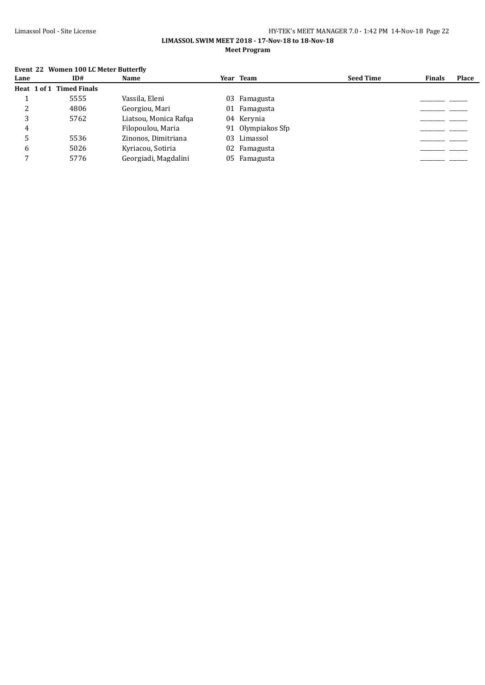# **LIMASSOL SWIM MEET 2018 - 17-Nov-18 to 18-Nov-18 Meet Program**

# **Event 22 Women 100 LC Meter Butterfly**

| Lane | ID#                      | <b>Name</b>           | Year Team         | <b>Seed Time</b> | <b>Finals</b> | <b>Place</b> |
|------|--------------------------|-----------------------|-------------------|------------------|---------------|--------------|
|      | Heat 1 of 1 Timed Finals |                       |                   |                  |               |              |
|      | 5555                     | Vassila, Eleni        | 03 Famagusta      |                  |               |              |
|      | 4806                     | Georgiou, Mari        | 01 Famagusta      |                  |               |              |
|      | 5762                     | Liatsou, Monica Rafga | 04 Kerynia        |                  |               |              |
| 4    |                          | Filopoulou, Maria     | 91 Olympiakos Sfp |                  |               |              |
|      | 5536                     | Zinonos, Dimitriana   | 03 Limassol       |                  |               |              |
| 6    | 5026                     | Kyriacou, Sotiria     | 02 Famagusta      |                  |               |              |
|      | 5776                     | Georgiadi, Magdalini  | 05 Famagusta      |                  |               |              |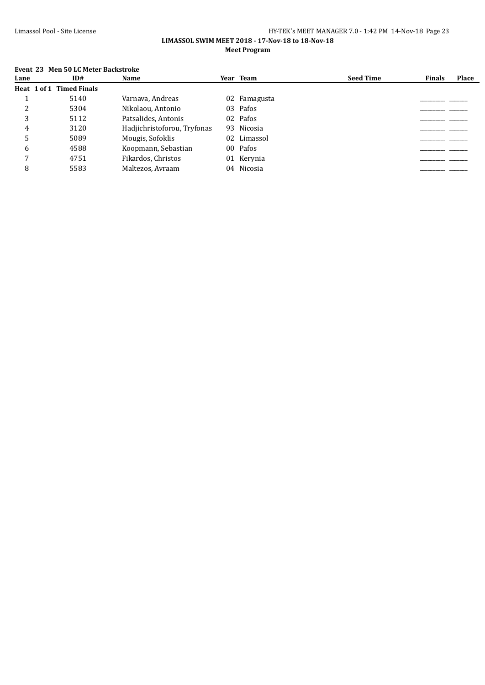#### **LIMASSOL SWIM MEET 2018 - 17-Nov-18 to 18-Nov-18 Meet Program**

# **Event 23 Men 50 LC Meter Backstroke**

| Lane | ID#                      | Name                        | Year Team    | <b>Seed Time</b> | <b>Finals</b> | Place |
|------|--------------------------|-----------------------------|--------------|------------------|---------------|-------|
|      | Heat 1 of 1 Timed Finals |                             |              |                  |               |       |
|      | 5140                     | Varnava, Andreas            | 02 Famagusta |                  |               |       |
|      | 5304                     | Nikolaou, Antonio           | 03 Pafos     |                  |               |       |
|      | 5112                     | Patsalides, Antonis         | 02 Pafos     |                  |               |       |
| 4    | 3120                     | Hadjichristoforou, Tryfonas | 93 Nicosia   |                  |               |       |
|      | 5089                     | Mougis, Sofoklis            | 02 Limassol  |                  |               |       |
| 6    | 4588                     | Koopmann, Sebastian         | 00 Pafos     |                  |               |       |
|      | 4751                     | Fikardos, Christos          | 01 Kerynia   |                  |               |       |
|      | 5583                     | Maltezos, Avraam            | 04 Nicosia   |                  |               |       |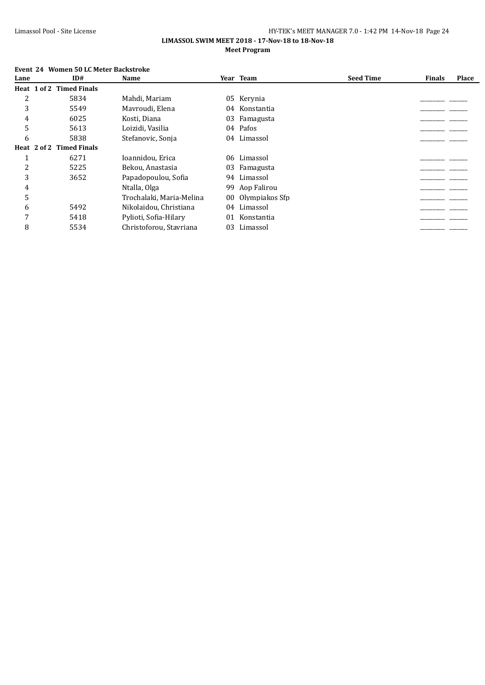#### **LIMASSOL SWIM MEET 2018 - 17-Nov-18 to 18-Nov-18 Meet Program**

# **Event 24 Women 50 LC Meter Backstroke**

| Lane | ID#                      | Name                     |    | Year Team      | <b>Seed Time</b> | <b>Finals</b> | Place |
|------|--------------------------|--------------------------|----|----------------|------------------|---------------|-------|
|      | Heat 1 of 2 Timed Finals |                          |    |                |                  |               |       |
| 2    | 5834                     | Mahdi, Mariam            | 05 | Kerynia        |                  |               |       |
| 3    | 5549                     | Mavroudi, Elena          | 04 | Konstantia     |                  |               |       |
| 4    | 6025                     | Kosti, Diana             | 03 | Famagusta      |                  |               |       |
| 5    | 5613                     | Loizidi, Vasilia         |    | 04 Pafos       |                  |               |       |
| 6    | 5838                     | Stefanovic, Sonja        | 04 | Limassol       |                  |               |       |
|      | Heat 2 of 2 Timed Finals |                          |    |                |                  |               |       |
|      | 6271                     | Ioannidou, Erica         | 06 | Limassol       |                  |               |       |
| 2    | 5225                     | Bekou, Anastasia         | 03 | Famagusta      |                  |               |       |
| 3    | 3652                     | Papadopoulou, Sofia      | 94 | Limassol       |                  |               |       |
| 4    |                          | Ntalla, Olga             |    | 99 Aop Falirou |                  |               |       |
| 5    |                          | Trochalaki, Maria-Melina | 00 | Olympiakos Sfp |                  |               |       |
| 6    | 5492                     | Nikolaidou, Christiana   | 04 | Limassol       |                  |               |       |
| 7    | 5418                     | Pylioti, Sofia-Hilary    | 01 | Konstantia     |                  |               |       |
| 8    | 5534                     | Christoforou, Stavriana  | 03 | Limassol       |                  |               |       |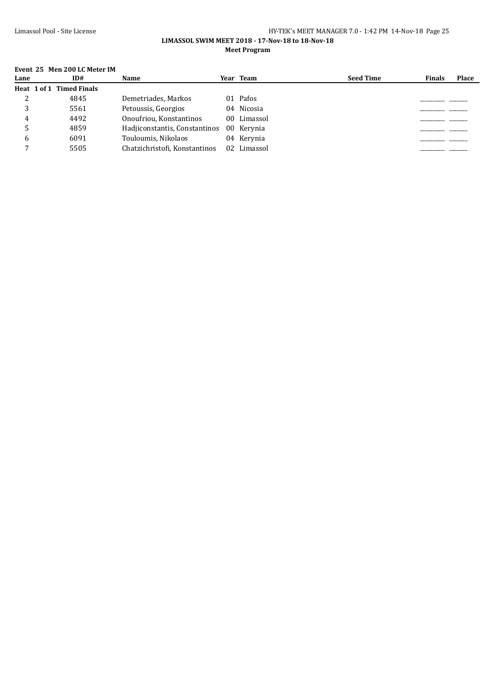## Limassol Pool - Site License HY-TEK's MEET MANAGER 7.0 - 1:42 PM 14-Nov-18 Page 25 **LIMASSOL SWIM MEET 2018 - 17-Nov-18 to 18-Nov-18**

#### **Meet Program**

#### **Event 25 Men 200 LC Meter IM**

| Lane | ID#                      | <b>Name</b>                   | Year Team   | <b>Seed Time</b> | <b>Finals</b> | <b>Place</b> |
|------|--------------------------|-------------------------------|-------------|------------------|---------------|--------------|
|      | Heat 1 of 1 Timed Finals |                               |             |                  |               |              |
|      | 4845                     | Demetriades, Markos           | 01 Pafos    |                  |               |              |
|      | 5561                     | Petoussis, Georgios           | 04 Nicosia  |                  |               |              |
|      | 4492                     | Onoufriou. Konstantinos       | 00 Limassol |                  |               |              |
|      | 4859                     | Hadiiconstantis, Constantinos | 00 Kervnia  |                  |               |              |
|      | 6091                     | Touloumis, Nikolaos           | 04 Kervnia  |                  |               |              |
|      | 5505                     | Chatzichristofi, Konstantinos | 02 Limassol |                  |               |              |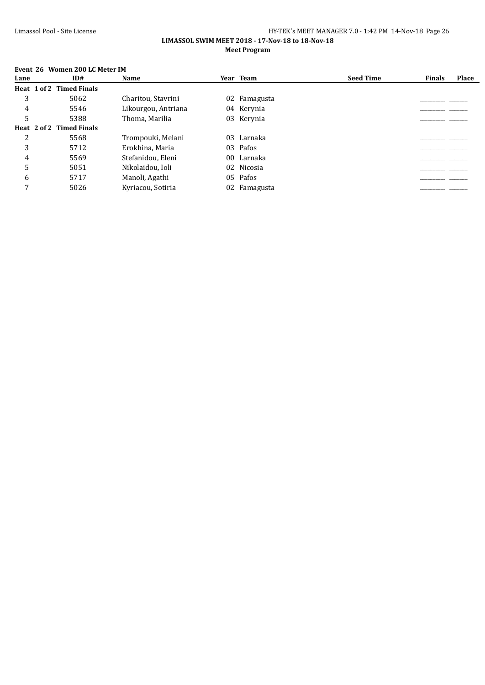#### **LIMASSOL SWIM MEET 2018 - 17-Nov-18 to 18-Nov-18 Meet Program**

# **Event 26 Women 200 LC Meter IM**

| Lane | ID#                      | Name                |                 | Year Team    | <b>Seed Time</b> | <b>Finals</b> | Place |
|------|--------------------------|---------------------|-----------------|--------------|------------------|---------------|-------|
|      | Heat 1 of 2 Timed Finals |                     |                 |              |                  |               |       |
| 3    | 5062                     | Charitou, Stavrini  |                 | 02 Famagusta |                  |               |       |
| 4    | 5546                     | Likourgou, Antriana |                 | 04 Kerynia   |                  |               |       |
| 5    | 5388                     | Thoma, Marilia      |                 | 03 Kerynia   |                  |               |       |
|      | Heat 2 of 2 Timed Finals |                     |                 |              |                  |               |       |
| 2    | 5568                     | Trompouki, Melani   | 03              | Larnaka      |                  |               |       |
| 3    | 5712                     | Erokhina, Maria     | 03              | Pafos        |                  |               |       |
| 4    | 5569                     | Stefanidou, Eleni   | 00 <sup>°</sup> | Larnaka      |                  |               |       |
| 5    | 5051                     | Nikolaidou, Ioli    |                 | 02 Nicosia   |                  |               |       |
| 6    | 5717                     | Manoli, Agathi      |                 | 05 Pafos     |                  |               |       |
| 7    | 5026                     | Kyriacou, Sotiria   |                 | 02 Famagusta |                  |               |       |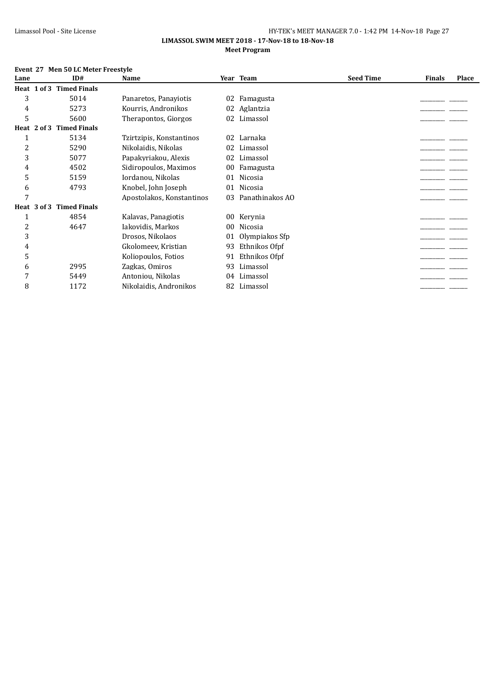#### **LIMASSOL SWIM MEET 2018 - 17-Nov-18 to 18-Nov-18 Meet Program**

#### **Event 27 Men 50 LC Meter Freestyle**

| Lane |             | ID#                 | Name                      |                 | Year Team       | <b>Seed Time</b> | <b>Finals</b> | <b>Place</b> |
|------|-------------|---------------------|---------------------------|-----------------|-----------------|------------------|---------------|--------------|
|      | Heat 1 of 3 | <b>Timed Finals</b> |                           |                 |                 |                  |               |              |
| 3    |             | 5014                | Panaretos, Panaviotis     | 02              | Famagusta       |                  |               |              |
| 4    |             | 5273                | Kourris, Andronikos       | 02              | Aglantzia       |                  |               |              |
| 5    |             | 5600                | Therapontos, Giorgos      | 02              | Limassol        |                  |               |              |
|      | Heat 2 of 3 | <b>Timed Finals</b> |                           |                 |                 |                  |               |              |
| 1    |             | 5134                | Tzirtzipis, Konstantinos  | 02              | Larnaka         |                  |               |              |
| 2    |             | 5290                | Nikolaidis, Nikolas       | 02              | Limassol        |                  |               |              |
| 3    |             | 5077                | Papakyriakou, Alexis      | 02              | Limassol        |                  |               |              |
| 4    |             | 4502                | Sidiropoulos, Maximos     | 00              | Famagusta       |                  |               |              |
| 5    |             | 5159                | Iordanou, Nikolas         | 01              | <b>Nicosia</b>  |                  |               |              |
| 6    |             | 4793                | Knobel, John Joseph       | 01              | Nicosia         |                  |               |              |
| 7    |             |                     | Apostolakos, Konstantinos | 03              | Panathinakos AO |                  |               |              |
|      | Heat 3 of 3 | <b>Timed Finals</b> |                           |                 |                 |                  |               |              |
| 1    |             | 4854                | Kalavas, Panagiotis       | 00              | Kerynia         |                  |               |              |
| 2    |             | 4647                | Iakovidis, Markos         | 00 <sup>°</sup> | Nicosia         |                  |               |              |
| 3    |             |                     | Drosos, Nikolaos          | 01              | Olympiakos Sfp  |                  |               |              |
| 4    |             |                     | Gkolomeev, Kristian       | 93              | Ethnikos Ofpf   |                  |               |              |
| 5    |             |                     | Koliopoulos, Fotios       | 91              | Ethnikos Ofpf   |                  |               |              |
| 6    |             | 2995                | Zagkas, Omiros            | 93              | Limassol        |                  |               |              |
| 7    |             | 5449                | Antoniou, Nikolas         | 04              | Limassol        |                  |               |              |
| 8    |             | 1172                | Nikolaidis, Andronikos    | 82              | Limassol        |                  |               |              |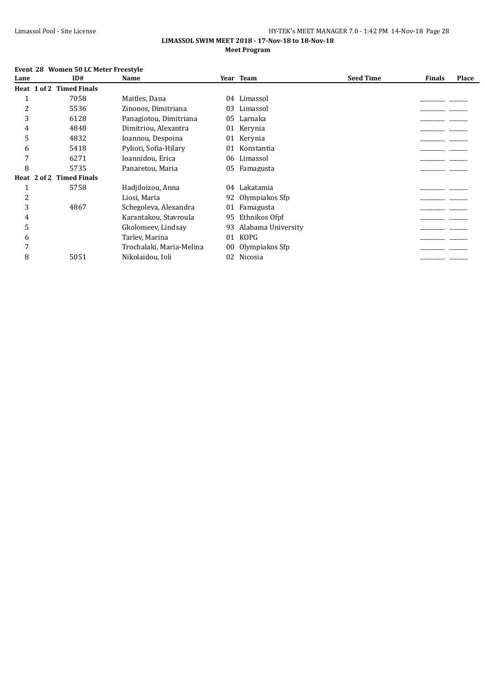#### **LIMASSOL SWIM MEET 2018 - 17-Nov-18 to 18-Nov-18 Meet Program**

#### **Event 28 Women 50 LC Meter Freestyle**

| ID#                 | Name                                        |    |                    | <b>Seed Time</b>                                                                                     | <b>Finals</b> | Place |
|---------------------|---------------------------------------------|----|--------------------|------------------------------------------------------------------------------------------------------|---------------|-------|
|                     |                                             |    |                    |                                                                                                      |               |       |
| 7058                | Maitles, Dana                               |    | Limassol           |                                                                                                      |               |       |
| 5536                | Zinonos, Dimitriana                         |    | Limassol           |                                                                                                      |               |       |
| 6128                | Panagiotou, Dimitriana                      |    |                    |                                                                                                      |               |       |
| 4848                | Dimitriou, Alexantra                        |    |                    |                                                                                                      |               |       |
| 4832                | Ioannou, Despoina                           |    |                    |                                                                                                      |               |       |
| 5418                | Pylioti, Sofia-Hilary                       | 01 | Konstantia         |                                                                                                      |               |       |
| 6271                | Ioannidou, Erica                            |    |                    |                                                                                                      |               |       |
| 5735                | Panaretou, Maria                            |    |                    |                                                                                                      |               |       |
| <b>Timed Finals</b> |                                             |    |                    |                                                                                                      |               |       |
| 5758                | Hadjiloizou, Anna                           | 04 | Lakatamia          |                                                                                                      |               |       |
|                     | Liosi, Maria                                |    | Olympiakos Sfp     |                                                                                                      |               |       |
| 4867                | Schegoleva, Alexandra                       | 01 | Famagusta          |                                                                                                      |               |       |
|                     | Karantakou, Stavroula                       | 95 | Ethnikos Ofpf      |                                                                                                      |               |       |
|                     | Gkolomeev, Lindsay                          | 93 | Alabama University |                                                                                                      |               |       |
|                     | Tarley, Marina                              | 01 | <b>KOPG</b>        |                                                                                                      |               |       |
|                     | Trochalaki, Maria-Melina                    | 00 | Olympiakos Sfp     |                                                                                                      |               |       |
| 5051                | Nikolaidou, Ioli                            | 02 | Nicosia            |                                                                                                      |               |       |
|                     | Heat 1 of 2 Timed Finals<br>Heat $2$ of $2$ |    |                    | Year Team<br>04<br>03<br>05 Larnaka<br>01 Kerynia<br>01 Kerynia<br>06 Limassol<br>05 Famagusta<br>92 |               |       |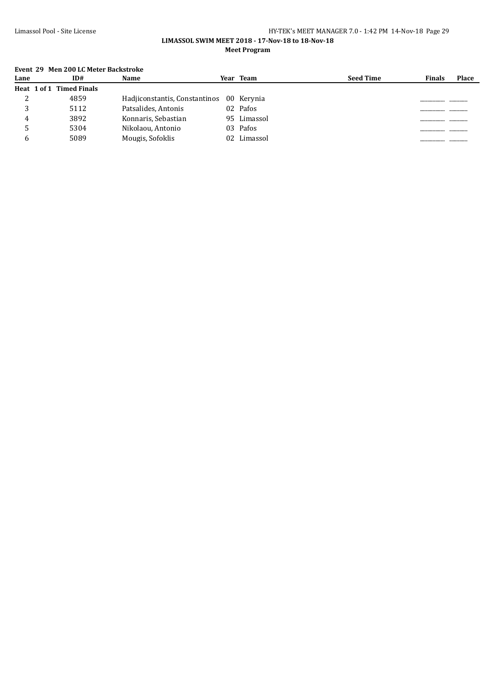#### **LIMASSOL SWIM MEET 2018 - 17-Nov-18 to 18-Nov-18 Meet Program**

# **Event 29 Men 200 LC Meter Backstroke**

| Lane | ID#                      | Name                                     | Year Team   | <b>Seed Time</b> | <b>Finals</b> | <b>Place</b> |
|------|--------------------------|------------------------------------------|-------------|------------------|---------------|--------------|
|      | Heat 1 of 1 Timed Finals |                                          |             |                  |               |              |
| ∠    | 4859                     | Hadiiconstantis, Constantinos 00 Kerynia |             |                  |               |              |
|      | 5112                     | Patsalides, Antonis                      | 02 Pafos    |                  |               |              |
|      | 3892                     | Konnaris, Sebastian                      | 95 Limassol |                  |               |              |
|      | 5304                     | Nikolaou, Antonio                        | 03 Pafos    |                  |               |              |
|      | 5089                     | Mougis, Sofoklis                         | 02 Limassol |                  |               |              |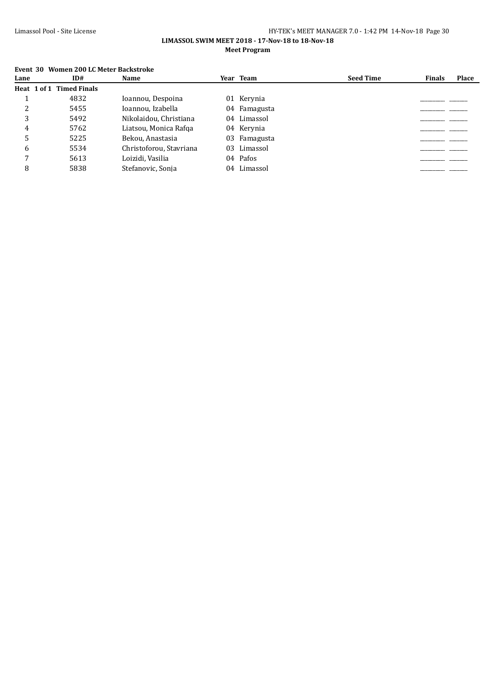#### **LIMASSOL SWIM MEET 2018 - 17-Nov-18 to 18-Nov-18 Meet Program**

#### **Event 30 Women 200 LC Meter Backstroke**

| Lane | ID#                      | <b>Name</b>             | Year Team    | <b>Seed Time</b> | <b>Finals</b> | <b>Place</b> |
|------|--------------------------|-------------------------|--------------|------------------|---------------|--------------|
|      | Heat 1 of 1 Timed Finals |                         |              |                  |               |              |
|      | 4832                     | Ioannou, Despoina       | 01 Kerynia   |                  |               |              |
|      | 5455                     | Ioannou, Izabella       | 04 Famagusta |                  |               |              |
|      | 5492                     | Nikolaidou, Christiana  | 04 Limassol  |                  |               |              |
| 4    | 5762                     | Liatsou, Monica Rafga   | 04 Kerynia   |                  |               |              |
|      | 5225                     | Bekou, Anastasia        | 03 Famagusta |                  |               |              |
| 6    | 5534                     | Christoforou, Stavriana | 03 Limassol  |                  |               |              |
|      | 5613                     | Loizidi, Vasilia        | 04 Pafos     |                  |               |              |
|      | 5838                     | Stefanovic, Sonja       | 04 Limassol  |                  |               |              |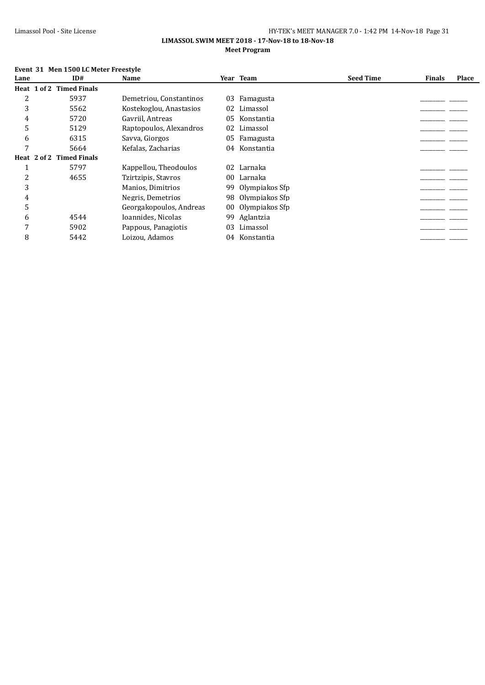#### **LIMASSOL SWIM MEET 2018 - 17-Nov-18 to 18-Nov-18 Meet Program**

#### **Event 31 Men 1500 LC Meter Freestyle**

| Lane | ID#                      | Name                    |                 | Year Team      | <b>Seed Time</b> | <b>Finals</b> | Place |
|------|--------------------------|-------------------------|-----------------|----------------|------------------|---------------|-------|
|      | Heat 1 of 2 Timed Finals |                         |                 |                |                  |               |       |
| 2    | 5937                     | Demetriou, Constantinos | 03              | Famagusta      |                  |               |       |
| 3    | 5562                     | Kostekoglou, Anastasios | 02              | Limassol       |                  |               |       |
| 4    | 5720                     | Gavriil, Antreas        | 05              | Konstantia     |                  |               |       |
| 5    | 5129                     | Raptopoulos, Alexandros | 02              | Limassol       |                  |               |       |
| 6    | 6315                     | Savva, Giorgos          | 05              | Famagusta      |                  |               |       |
| 7    | 5664                     | Kefalas, Zacharias      | 04              | Konstantia     |                  |               |       |
|      | Heat 2 of 2 Timed Finals |                         |                 |                |                  |               |       |
|      | 5797                     | Kappellou, Theodoulos   | 02              | Larnaka        |                  |               |       |
| 2    | 4655                     | Tzirtzipis, Stavros     | 00              | Larnaka        |                  |               |       |
| 3    |                          | Manios, Dimitrios       | 99              | Olympiakos Sfp |                  |               |       |
| 4    |                          | Negris, Demetrios       | 98              | Olympiakos Sfp |                  |               |       |
| 5    |                          | Georgakopoulos, Andreas | 00 <sup>°</sup> | Olympiakos Sfp |                  |               |       |
| 6    | 4544                     | Ioannides, Nicolas      | 99              | Aglantzia      |                  |               |       |
| 7    | 5902                     | Pappous, Panagiotis     | 03              | Limassol       |                  |               |       |
| 8    | 5442                     | Loizou, Adamos          | 04              | Konstantia     |                  |               |       |